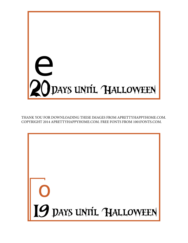

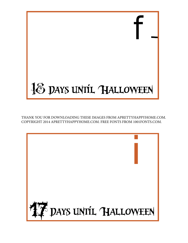

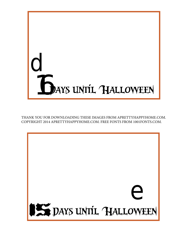

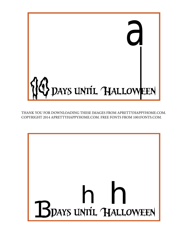

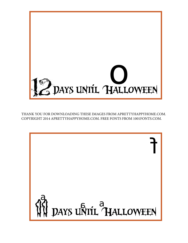

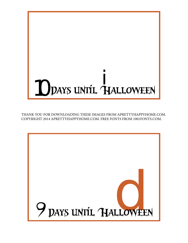

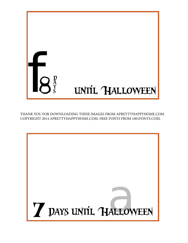

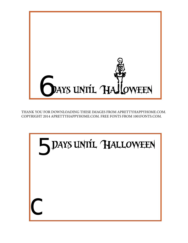

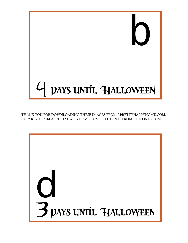

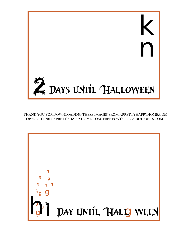